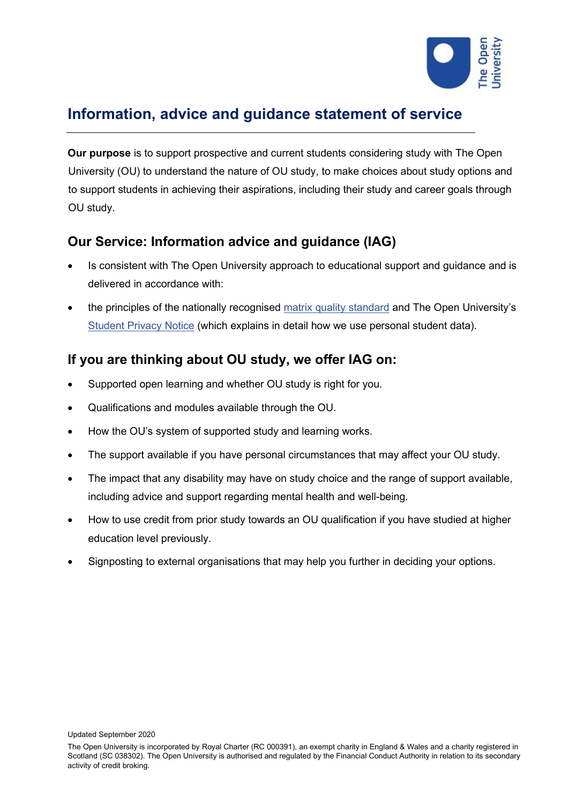

# **Information, advice and guidance statement of service**

**Our purpose** is to support prospective and current students considering study with The Open University (OU) to understand the nature of OU study, to make choices about study options and to support students in achieving their aspirations, including their study and career goals through OU study.

# **Our Service: Information advice and guidance (IAG)**

- Is consistent with The Open University approach to educational support and guidance and is delivered in accordance with:
- the principles of the nationally recognised [matrix quality standard](http://www.matrixstandard.com/) and The Open University's [Student Privacy Notice](https://help.open.ac.uk/documents/policies/privacy-notice) (which explains in detail how we use personal student data).

# **If you are thinking about OU study, we offer IAG on:**

- Supported open learning and whether OU study is right for you.
- Qualifications and modules available through the OU.
- How the OU's system of supported study and learning works.
- The support available if you have personal circumstances that may affect your OU study.
- The impact that any disability may have on study choice and the range of support available, including advice and support regarding mental health and well-being.
- How to use credit from prior study towards an OU qualification if you have studied at higher education level previously.
- Signposting to external organisations that may help you further in deciding your options.

Updated September 2020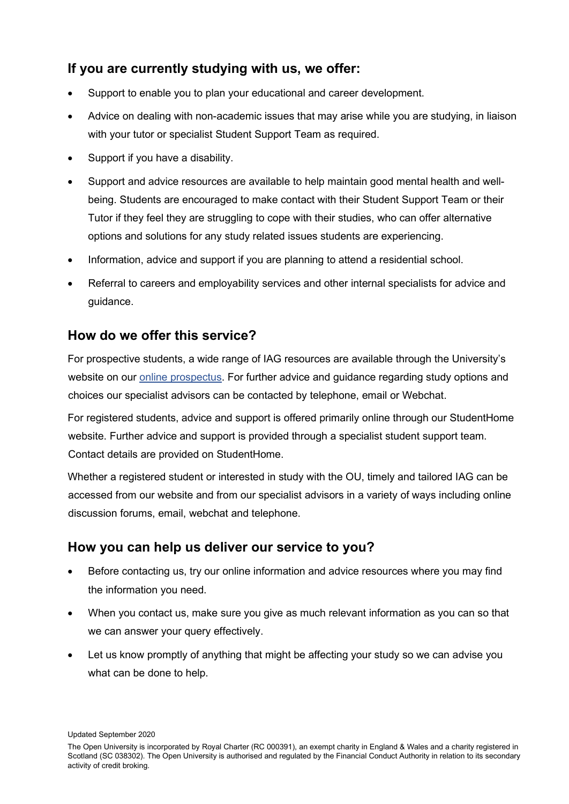# **If you are currently studying with us, we offer:**

- Support to enable you to plan your educational and career development.
- Advice on dealing with non-academic issues that may arise while you are studying, in liaison with your tutor or specialist Student Support Team as required.
- Support if you have a disability.
- Support and advice resources are available to help maintain good mental health and wellbeing. Students are encouraged to make contact with their Student Support Team or their Tutor if they feel they are struggling to cope with their studies, who can offer alternative options and solutions for any study related issues students are experiencing.
- Information, advice and support if you are planning to attend a residential school.
- Referral to careers and employability services and other internal specialists for advice and guidance.

#### **How do we offer this service?**

For prospective students, a wide range of IAG resources are available through the University's website on our [online prospectus.](http://www.open.ac.uk/courses) For further advice and guidance regarding study options and choices our specialist advisors can be contacted by telephone, email or Webchat.

For registered students, advice and support is offered primarily online through our StudentHome website. Further advice and support is provided through a specialist student support team. Contact details are provided on StudentHome.

Whether a registered student or interested in study with the OU, timely and tailored IAG can be accessed from our website and from our specialist advisors in a variety of ways including online discussion forums, email, webchat and telephone.

### **How you can help us deliver our service to you?**

- Before contacting us, try our online information and advice resources where you may find the information you need.
- When you contact us, make sure you give as much relevant information as you can so that we can answer your query effectively.
- Let us know promptly of anything that might be affecting your study so we can advise you what can be done to help.

Updated September 2020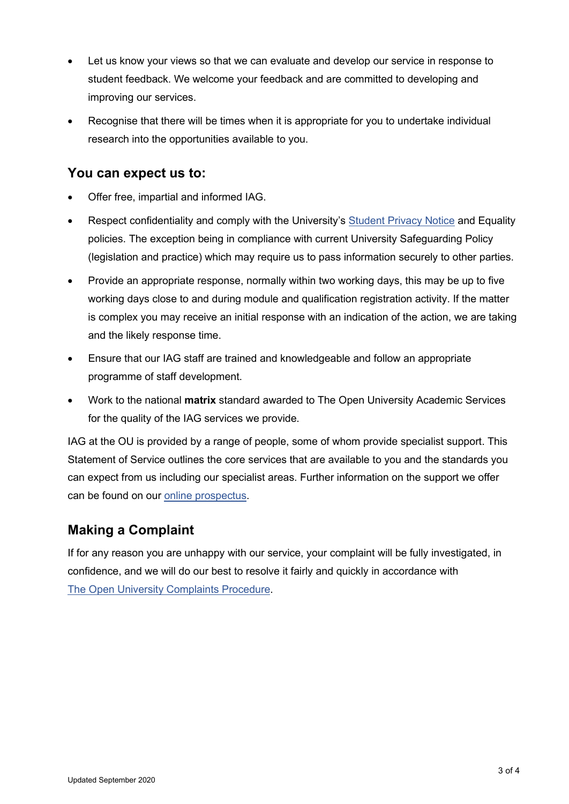- Let us know your views so that we can evaluate and develop our service in response to student feedback. We welcome your feedback and are committed to developing and improving our services.
- Recognise that there will be times when it is appropriate for you to undertake individual research into the opportunities available to you.

#### **You can expect us to:**

- Offer free, impartial and informed IAG.
- Respect confidentiality and comply with the University's [Student Privacy Notice](https://help.open.ac.uk/documents/policies/privacy-notice) and Equality policies. The exception being in compliance with current University Safeguarding Policy (legislation and practice) which may require us to pass information securely to other parties.
- Provide an appropriate response, normally within two working days, this may be up to five working days close to and during module and qualification registration activity. If the matter is complex you may receive an initial response with an indication of the action, we are taking and the likely response time.
- Ensure that our IAG staff are trained and knowledgeable and follow an appropriate programme of staff development.
- Work to the national **matrix** standard awarded to The Open University Academic Services for the quality of the IAG services we provide.

IAG at the OU is provided by a range of people, some of whom provide specialist support. This Statement of Service outlines the core services that are available to you and the standards you can expect from us including our specialist areas. Further information on the support we offer can be found on our [online prospectus.](http://www.open.ac.uk/courses)

# **Making a Complaint**

If for any reason you are unhappy with our service, your complaint will be fully investigated, in confidence, and we will do our best to resolve it fairly and quickly in accordance with [The Open University Complaints Procedure.](https://help.open.ac.uk/documents/policies/complaints-and-appeals-procedure)